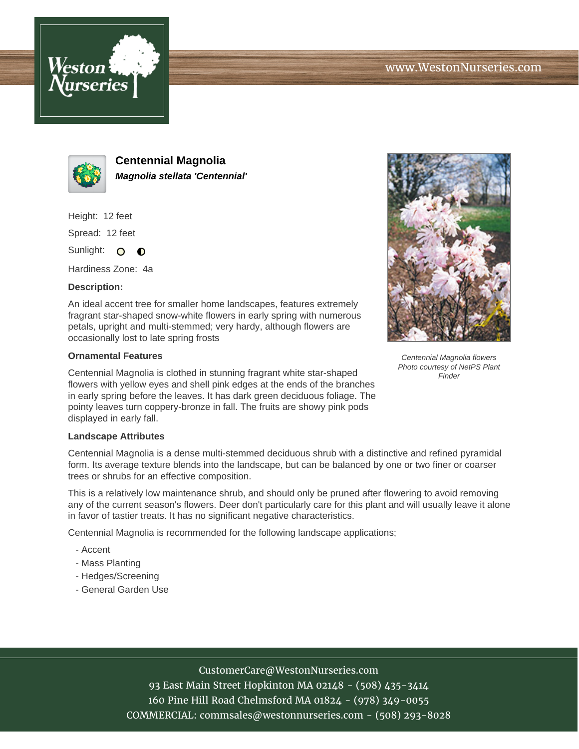



**Centennial Magnolia Magnolia stellata 'Centennial'**

Height: 12 feet

Spread: 12 feet

Sunlight: O  $\bullet$ 

Hardiness Zone: 4a

## **Description:**

An ideal accent tree for smaller home landscapes, features extremely fragrant star-shaped snow-white flowers in early spring with numerous petals, upright and multi-stemmed; very hardy, although flowers are occasionally lost to late spring frosts

## **Ornamental Features**

Centennial Magnolia is clothed in stunning fragrant white star-shaped flowers with yellow eyes and shell pink edges at the ends of the branches in early spring before the leaves. It has dark green deciduous foliage. The pointy leaves turn coppery-bronze in fall. The fruits are showy pink pods displayed in early fall.

## **Landscape Attributes**

Centennial Magnolia is a dense multi-stemmed deciduous shrub with a distinctive and refined pyramidal form. Its average texture blends into the landscape, but can be balanced by one or two finer or coarser trees or shrubs for an effective composition.

This is a relatively low maintenance shrub, and should only be pruned after flowering to avoid removing any of the current season's flowers. Deer don't particularly care for this plant and will usually leave it alone in favor of tastier treats. It has no significant negative characteristics.

Centennial Magnolia is recommended for the following landscape applications;

- Accent
- Mass Planting
- Hedges/Screening
- General Garden Use



Centennial Magnolia flowers Photo courtesy of NetPS Plant Finder

CustomerCare@WestonNurseries.com

93 East Main Street Hopkinton MA 02148 - (508) 435-3414 160 Pine Hill Road Chelmsford MA 01824 - (978) 349-0055 COMMERCIAL: commsales@westonnurseries.com - (508) 293-8028